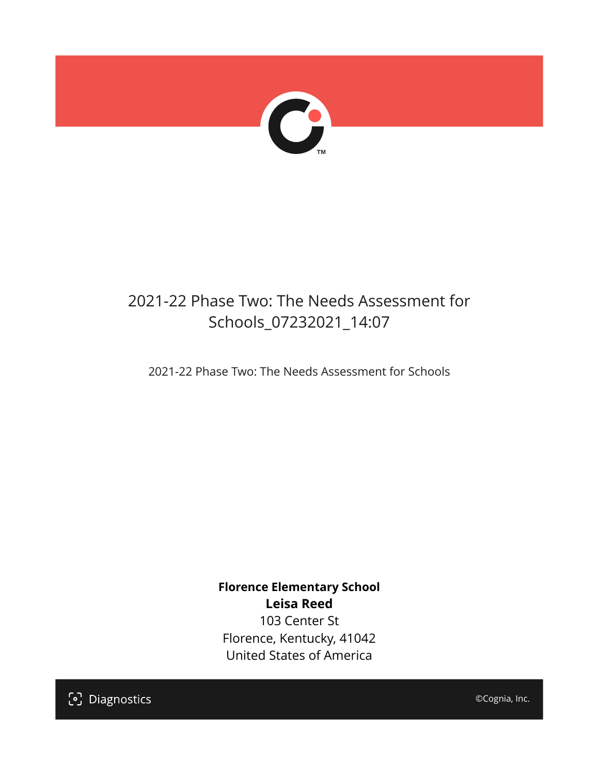

## 2021-22 Phase Two: The Needs Assessment for Schools\_07232021\_14:07

2021-22 Phase Two: The Needs Assessment for Schools

**Florence Elementary School Leisa Reed** 103 Center St Florence, Kentucky, 41042 United States of America

[၁] Diagnostics

©Cognia, Inc.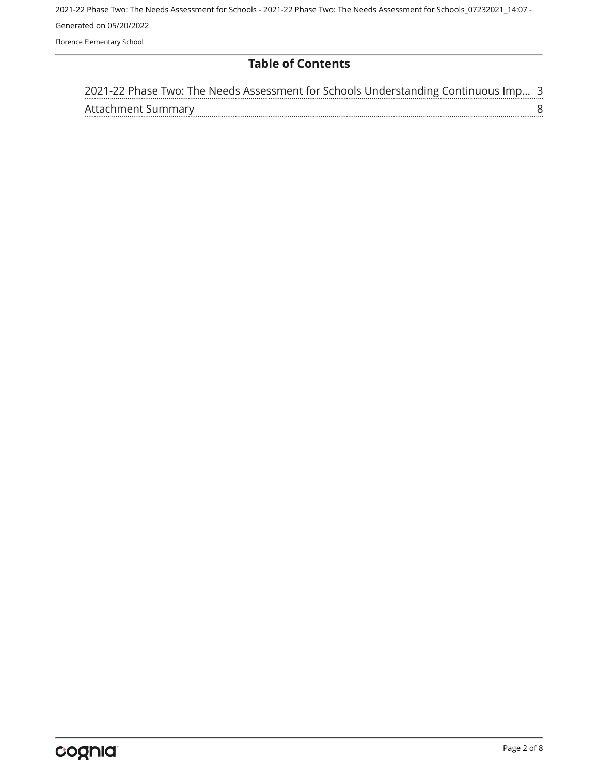#### **Table of Contents**

| 2021-22 Phase Two: The Needs Assessment for Schools Understanding Continuous Imp 3 |  |
|------------------------------------------------------------------------------------|--|
| Attachment Summary                                                                 |  |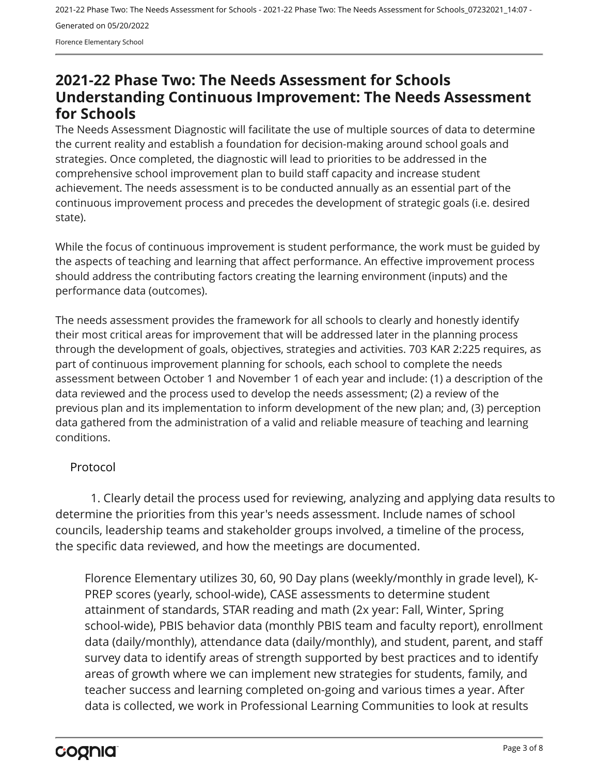Florence Elementary School

### <span id="page-2-0"></span>**2021-22 Phase Two: The Needs Assessment for Schools Understanding Continuous Improvement: The Needs Assessment for Schools**

The Needs Assessment Diagnostic will facilitate the use of multiple sources of data to determine the current reality and establish a foundation for decision-making around school goals and strategies. Once completed, the diagnostic will lead to priorities to be addressed in the comprehensive school improvement plan to build staff capacity and increase student achievement. The needs assessment is to be conducted annually as an essential part of the continuous improvement process and precedes the development of strategic goals (i.e. desired state).

While the focus of continuous improvement is student performance, the work must be guided by the aspects of teaching and learning that affect performance. An effective improvement process should address the contributing factors creating the learning environment (inputs) and the performance data (outcomes).

The needs assessment provides the framework for all schools to clearly and honestly identify their most critical areas for improvement that will be addressed later in the planning process through the development of goals, objectives, strategies and activities. 703 KAR 2:225 requires, as part of continuous improvement planning for schools, each school to complete the needs assessment between October 1 and November 1 of each year and include: (1) a description of the data reviewed and the process used to develop the needs assessment; (2) a review of the previous plan and its implementation to inform development of the new plan; and, (3) perception data gathered from the administration of a valid and reliable measure of teaching and learning conditions.

#### Protocol

1. Clearly detail the process used for reviewing, analyzing and applying data results to determine the priorities from this year's needs assessment. Include names of school councils, leadership teams and stakeholder groups involved, a timeline of the process, the specific data reviewed, and how the meetings are documented.

Florence Elementary utilizes 30, 60, 90 Day plans (weekly/monthly in grade level), K-PREP scores (yearly, school-wide), CASE assessments to determine student attainment of standards, STAR reading and math (2x year: Fall, Winter, Spring school-wide), PBIS behavior data (monthly PBIS team and faculty report), enrollment data (daily/monthly), attendance data (daily/monthly), and student, parent, and staff survey data to identify areas of strength supported by best practices and to identify areas of growth where we can implement new strategies for students, family, and teacher success and learning completed on-going and various times a year. After data is collected, we work in Professional Learning Communities to look at results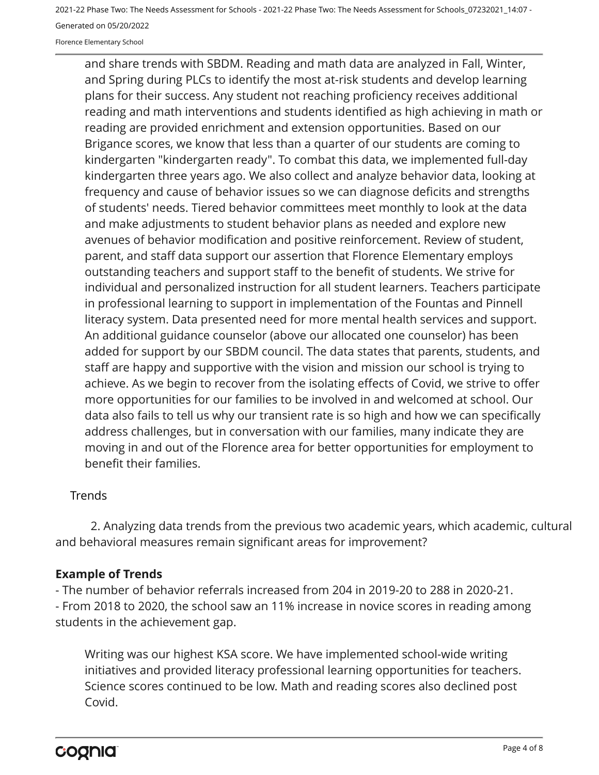Florence Elementary School

and share trends with SBDM. Reading and math data are analyzed in Fall, Winter, and Spring during PLCs to identify the most at-risk students and develop learning plans for their success. Any student not reaching proficiency receives additional reading and math interventions and students identified as high achieving in math or reading are provided enrichment and extension opportunities. Based on our Brigance scores, we know that less than a quarter of our students are coming to kindergarten "kindergarten ready". To combat this data, we implemented full-day kindergarten three years ago. We also collect and analyze behavior data, looking at frequency and cause of behavior issues so we can diagnose deficits and strengths of students' needs. Tiered behavior committees meet monthly to look at the data and make adjustments to student behavior plans as needed and explore new avenues of behavior modification and positive reinforcement. Review of student, parent, and staff data support our assertion that Florence Elementary employs outstanding teachers and support staff to the benefit of students. We strive for individual and personalized instruction for all student learners. Teachers participate in professional learning to support in implementation of the Fountas and Pinnell literacy system. Data presented need for more mental health services and support. An additional guidance counselor (above our allocated one counselor) has been added for support by our SBDM council. The data states that parents, students, and staff are happy and supportive with the vision and mission our school is trying to achieve. As we begin to recover from the isolating effects of Covid, we strive to offer more opportunities for our families to be involved in and welcomed at school. Our data also fails to tell us why our transient rate is so high and how we can specifically address challenges, but in conversation with our families, many indicate they are moving in and out of the Florence area for better opportunities for employment to benefit their families.

#### **Trends**

2. Analyzing data trends from the previous two academic years, which academic, cultural and behavioral measures remain significant areas for improvement?

#### **Example of Trends**

- The number of behavior referrals increased from 204 in 2019-20 to 288 in 2020-21.

- From 2018 to 2020, the school saw an 11% increase in novice scores in reading among students in the achievement gap.

Writing was our highest KSA score. We have implemented school-wide writing initiatives and provided literacy professional learning opportunities for teachers. Science scores continued to be low. Math and reading scores also declined post Covid.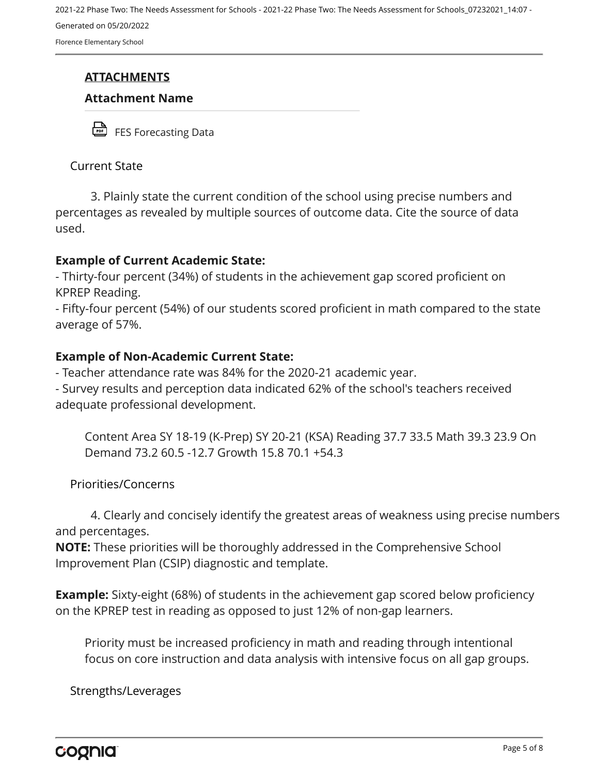#### **ATTACHMENTS**

#### **Attachment Name**

FES Forecasting Data

#### Current State

3. Plainly state the current condition of the school using precise numbers and percentages as revealed by multiple sources of outcome data. Cite the source of data used.

#### **Example of Current Academic State:**

- Thirty-four percent (34%) of students in the achievement gap scored proficient on KPREP Reading.

- Fifty-four percent (54%) of our students scored proficient in math compared to the state average of 57%.

#### **Example of Non-Academic Current State:**

- Teacher attendance rate was 84% for the 2020-21 academic year.

- Survey results and perception data indicated 62% of the school's teachers received adequate professional development.

Content Area SY 18-19 (K-Prep) SY 20-21 (KSA) Reading 37.7 33.5 Math 39.3 23.9 On Demand 73.2 60.5 -12.7 Growth 15.8 70.1 +54.3

Priorities/Concerns

4. Clearly and concisely identify the greatest areas of weakness using precise numbers and percentages.

**NOTE:** These priorities will be thoroughly addressed in the Comprehensive School Improvement Plan (CSIP) diagnostic and template.

**Example:** Sixty-eight (68%) of students in the achievement gap scored below proficiency on the KPREP test in reading as opposed to just 12% of non-gap learners.

Priority must be increased proficiency in math and reading through intentional focus on core instruction and data analysis with intensive focus on all gap groups.

Strengths/Leverages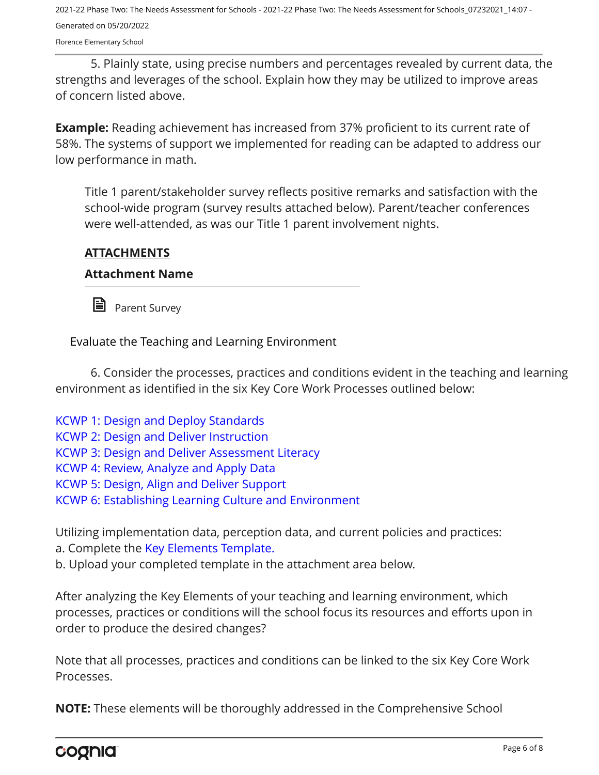Florence Elementary School

5. Plainly state, using precise numbers and percentages revealed by current data, the strengths and leverages of the school. Explain how they may be utilized to improve areas of concern listed above.

**Example:** Reading achievement has increased from 37% proficient to its current rate of 58%. The systems of support we implemented for reading can be adapted to address our low performance in math.

Title 1 parent/stakeholder survey reflects positive remarks and satisfaction with the school-wide program (survey results attached below). Parent/teacher conferences were well-attended, as was our Title 1 parent involvement nights.

#### **ATTACHMENTS**

#### **Attachment Name**

**■** Parent Survey

Evaluate the Teaching and Learning Environment

6. Consider the processes, practices and conditions evident in the teaching and learning environment as identified in the six Key Core Work Processes outlined below:

[KCWP 1: Design and Deploy Standards](https://education.ky.gov/school/csip/Documents/KCWP%201%20Strategic%20Design%20and%20Deploy%20Standards.pdf) [KCWP 2: Design and Deliver Instruction](https://education.ky.gov/school/csip/Documents/KCWP%202%20Strategic%20Design%20and%20Deliver%20Instruction.pdf) [KCWP 3: Design and Deliver Assessment Literacy](https://education.ky.gov/school/csip/Documents/KCWP%203%20Strategic%20Design%20and%20Deliver%20Assessment%20Literacy.pdf) [KCWP 4: Review, Analyze and Apply Data](https://education.ky.gov/school/csip/Documents/KCWP%204%20Strategic%20Review%20Analyze%20and%20Apply%20Data.pdf) [KCWP 5: Design, Align and Deliver Support](https://education.ky.gov/school/csip/Documents/KCWP%205%20Strategic%20Design%20Align%20Deliver%20Support%20Processes.pdf) [KCWP 6: Establishing Learning Culture and Environment](https://education.ky.gov/school/csip/Documents/KCWP%206%20Strategic%20Establish%20Learning%20Culture%20and%20Environment.pdf)

Utilizing implementation data, perception data, and current policies and practices:

a. Complete the [Key Elements Template.](https://education.ky.gov/school/csip/Documents/School%20Key%20Elements%20Template.docx)

b. Upload your completed template in the attachment area below.

After analyzing the Key Elements of your teaching and learning environment, which processes, practices or conditions will the school focus its resources and efforts upon in order to produce the desired changes?

Note that all processes, practices and conditions can be linked to the six Key Core Work Processes.

**NOTE:** These elements will be thoroughly addressed in the Comprehensive School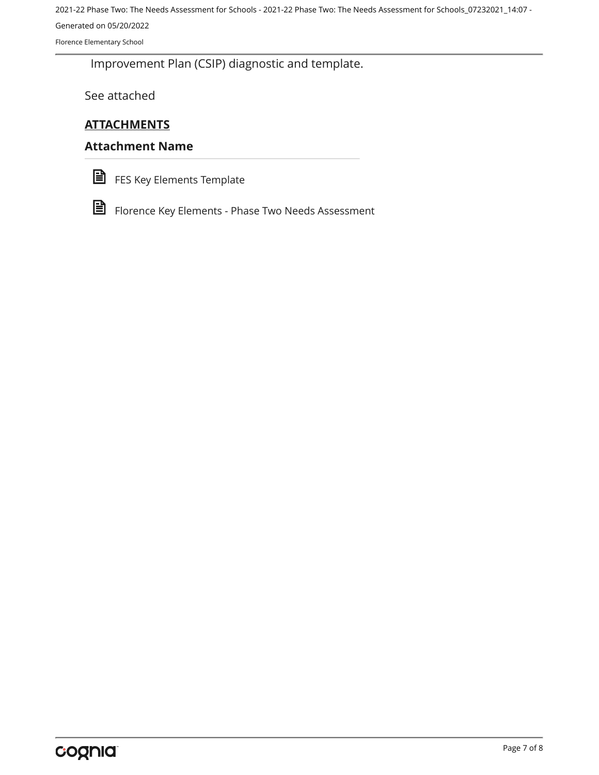Florence Elementary School

Improvement Plan (CSIP) diagnostic and template.

See attached

#### **ATTACHMENTS**

#### **Attachment Name**



FES Key Elements Template

Florence Key Elements - Phase Two Needs Assessment